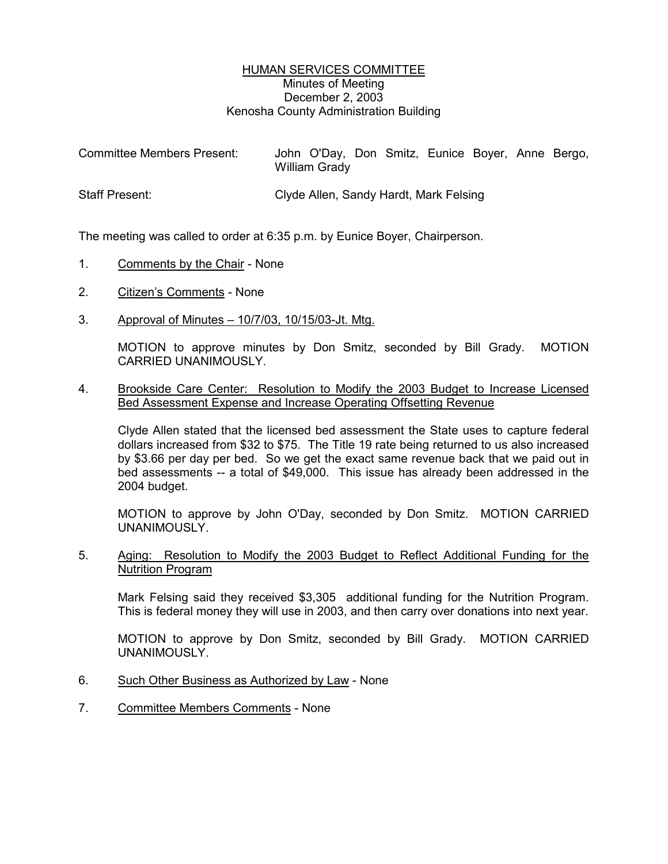## HUMAN SERVICES COMMITTEE Minutes of Meeting December 2, 2003 Kenosha County Administration Building

| <b>Committee Members Present:</b> | John O'Day, Don Smitz, Eunice Boyer, Anne Bergo,<br>William Grady |
|-----------------------------------|-------------------------------------------------------------------|
| <b>Staff Present:</b>             | Clyde Allen, Sandy Hardt, Mark Felsing                            |

The meeting was called to order at 6:35 p.m. by Eunice Boyer, Chairperson.

- 1. Comments by the Chair None
- 2. Citizen's Comments None
- 3. Approval of Minutes 10/7/03, 10/15/03-Jt. Mtg.

MOTION to approve minutes by Don Smitz, seconded by Bill Grady. MOTION CARRIED UNANIMOUSLY.

## 4. Brookside Care Center: Resolution to Modify the 2003 Budget to Increase Licensed Bed Assessment Expense and Increase Operating Offsetting Revenue

Clyde Allen stated that the licensed bed assessment the State uses to capture federal dollars increased from \$32 to \$75. The Title 19 rate being returned to us also increased by \$3.66 per day per bed. So we get the exact same revenue back that we paid out in bed assessments -- a total of \$49,000. This issue has already been addressed in the 2004 budget.

MOTION to approve by John O'Day, seconded by Don Smitz. MOTION CARRIED UNANIMOUSLY.

## 5. Aging: Resolution to Modify the 2003 Budget to Reflect Additional Funding for the Nutrition Program

Mark Felsing said they received \$3,305 additional funding for the Nutrition Program. This is federal money they will use in 2003, and then carry over donations into next year.

MOTION to approve by Don Smitz, seconded by Bill Grady. MOTION CARRIED UNANIMOUSLY.

- 6. Such Other Business as Authorized by Law None
- 7. Committee Members Comments None